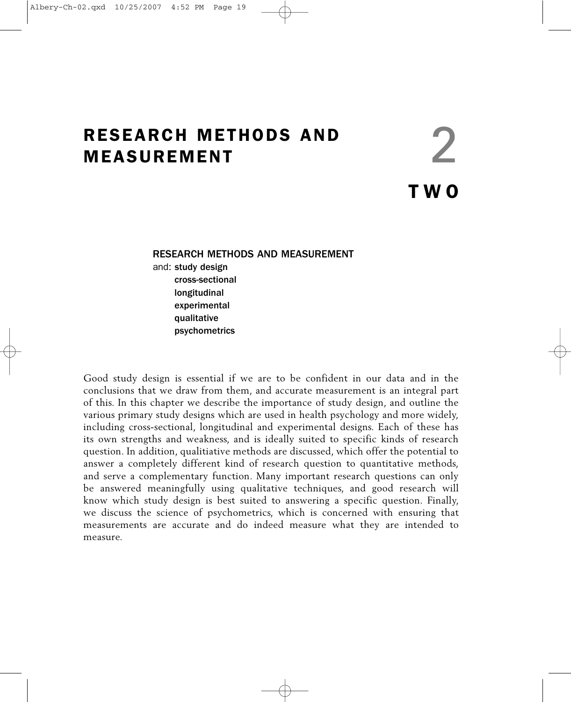# RESEARCH METHODS AND<br>MEASUREMENT

# TWO

### RESEARCH METHODS AND MEASUREMENT

and: study design cross-sectional longitudinal experimental qualitative psychometrics

Good study design is essential if we are to be confident in our data and in the conclusions that we draw from them, and accurate measurement is an integral part of this. In this chapter we describe the importance of study design, and outline the various primary study designs which are used in health psychology and more widely, including cross-sectional, longitudinal and experimental designs. Each of these has its own strengths and weakness, and is ideally suited to specific kinds of research question. In addition, qualitiative methods are discussed, which offer the potential to answer a completely different kind of research question to quantitative methods, and serve a complementary function. Many important research questions can only be answered meaningfully using qualitative techniques, and good research will know which study design is best suited to answering a specific question. Finally, we discuss the science of psychometrics, which is concerned with ensuring that measurements are accurate and do indeed measure what they are intended to measure.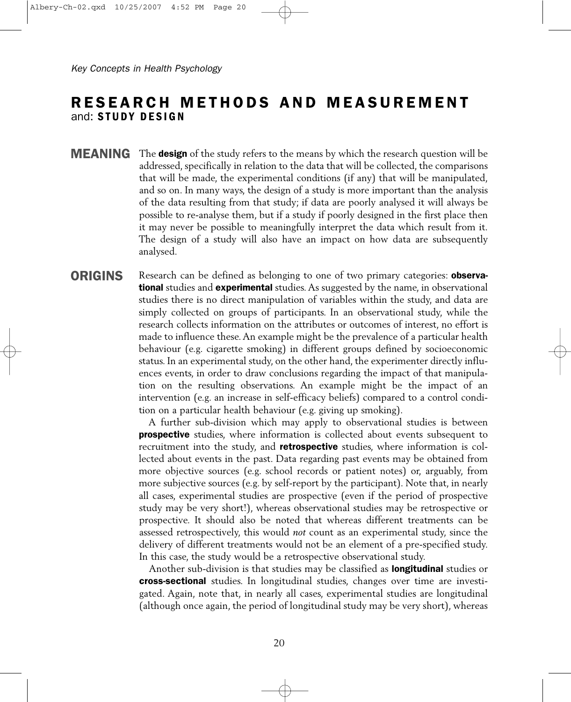# RESEARCH METHODS AND MEASUREMENT and: STUDY DESIGN

- The **design** of the study refers to the means by which the research question will be addressed, specifically in relation to the data that will be collected, the comparisons that will be made, the experimental conditions (if any) that will be manipulated, and so on. In many ways, the design of a study is more important than the analysis of the data resulting from that study; if data are poorly analysed it will always be possible to re-analyse them, but if a study if poorly designed in the first place then it may never be possible to meaningfully interpret the data which result from it. The design of a study will also have an impact on how data are subsequently analysed. MEANING
- Research can be defined as belonging to one of two primary categories: **observa**tional studies and experimental studies. As suggested by the name, in observational studies there is no direct manipulation of variables within the study, and data are simply collected on groups of participants. In an observational study, while the research collects information on the attributes or outcomes of interest, no effort is made to influence these. An example might be the prevalence of a particular health behaviour (e.g. cigarette smoking) in different groups defined by socioeconomic status. In an experimental study, on the other hand, the experimenter directly influences events, in order to draw conclusions regarding the impact of that manipulation on the resulting observations. An example might be the impact of an intervention (e.g. an increase in self-efficacy beliefs) compared to a control condition on a particular health behaviour (e.g. giving up smoking). ORIGINS

A further sub-division which may apply to observational studies is between **prospective** studies, where information is collected about events subsequent to recruitment into the study, and **retrospective** studies, where information is collected about events in the past. Data regarding past events may be obtained from more objective sources (e.g. school records or patient notes) or, arguably, from more subjective sources (e.g. by self-report by the participant). Note that, in nearly all cases, experimental studies are prospective (even if the period of prospective study may be very short!), whereas observational studies may be retrospective or prospective. It should also be noted that whereas different treatments can be assessed retrospectively, this would *not* count as an experimental study, since the delivery of different treatments would not be an element of a pre-specified study. In this case, the study would be a retrospective observational study.

Another sub-division is that studies may be classified as **longitudinal** studies or cross-sectional studies. In longitudinal studies, changes over time are investigated. Again, note that, in nearly all cases, experimental studies are longitudinal (although once again, the period of longitudinal study may be very short), whereas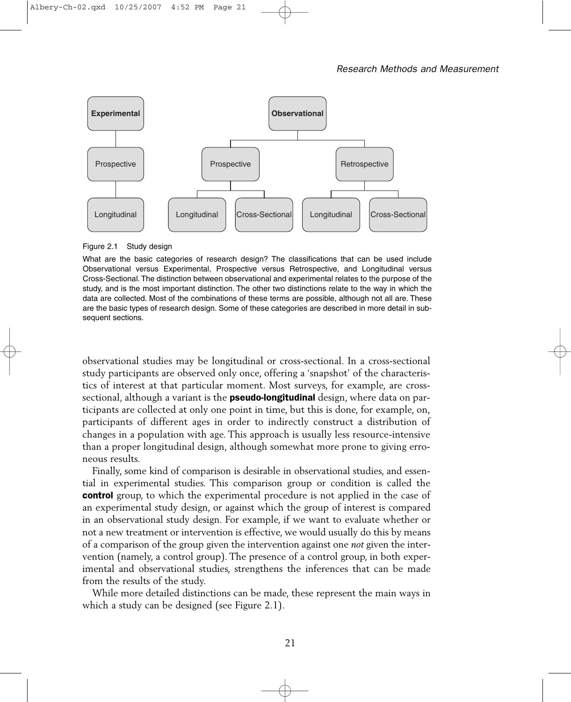



#### Figure 2.1 Study design

What are the basic categories of research design? The classifications that can be used include Observational versus Experimental, Prospective versus Retrospective, and Longitudinal versus Cross-Sectional. The distinction between observational and experimental relates to the purpose of the study, and is the most important distinction. The other two distinctions relate to the way in which the data are collected. Most of the combinations of these terms are possible, although not all are. These are the basic types of research design. Some of these categories are described in more detail in subsequent sections.

observational studies may be longitudinal or cross-sectional. In a cross-sectional study participants are observed only once, offering a 'snapshot' of the characteristics of interest at that particular moment. Most surveys, for example, are crosssectional, although a variant is the pseudo-longitudinal design, where data on participants are collected at only one point in time, but this is done, for example, on, participants of different ages in order to indirectly construct a distribution of changes in a population with age. This approach is usually less resource-intensive than a proper longitudinal design, although somewhat more prone to giving erroneous results.

Finally, some kind of comparison is desirable in observational studies, and essential in experimental studies. This comparison group or condition is called the **control** group, to which the experimental procedure is not applied in the case of an experimental study design, or against which the group of interest is compared in an observational study design. For example, if we want to evaluate whether or not a new treatment or intervention is effective, we would usually do this by means of a comparison of the group given the intervention against one *not* given the intervention (namely, a control group). The presence of a control group, in both experimental and observational studies, strengthens the inferences that can be made from the results of the study.

While more detailed distinctions can be made, these represent the main ways in which a study can be designed (see Figure 2.1).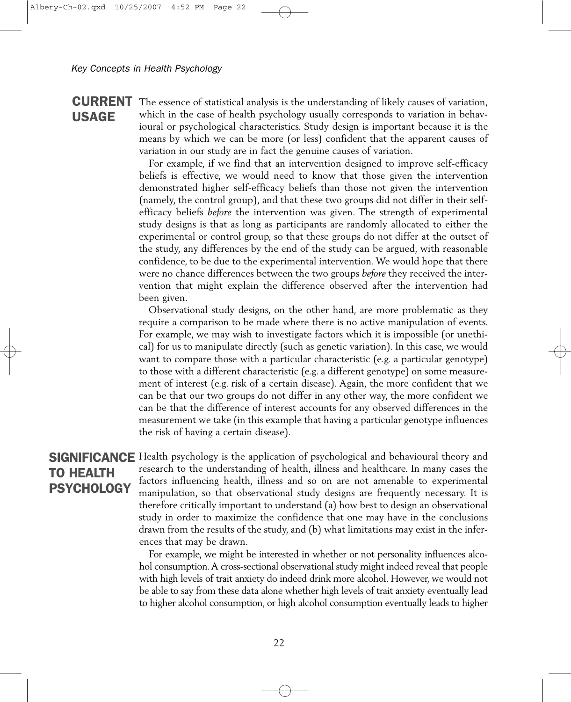# CURRENT USAGE

The essence of statistical analysis is the understanding of likely causes of variation, which in the case of health psychology usually corresponds to variation in behavioural or psychological characteristics. Study design is important because it is the means by which we can be more (or less) confident that the apparent causes of variation in our study are in fact the genuine causes of variation.

For example, if we find that an intervention designed to improve self-efficacy beliefs is effective, we would need to know that those given the intervention demonstrated higher self-efficacy beliefs than those not given the intervention (namely, the control group), and that these two groups did not differ in their selfefficacy beliefs *before* the intervention was given. The strength of experimental study designs is that as long as participants are randomly allocated to either the experimental or control group, so that these groups do not differ at the outset of the study, any differences by the end of the study can be argued, with reasonable confidence, to be due to the experimental intervention. We would hope that there were no chance differences between the two groups *before* they received the intervention that might explain the difference observed after the intervention had been given.

Observational study designs, on the other hand, are more problematic as they require a comparison to be made where there is no active manipulation of events. For example, we may wish to investigate factors which it is impossible (or unethical) for us to manipulate directly (such as genetic variation). In this case, we would want to compare those with a particular characteristic (e.g. a particular genotype) to those with a different characteristic (e.g. a different genotype) on some measurement of interest (e.g. risk of a certain disease). Again, the more confident that we can be that our two groups do not differ in any other way, the more confident we can be that the difference of interest accounts for any observed differences in the measurement we take (in this example that having a particular genotype influences the risk of having a certain disease).

# TO HEALTH **PSYCHOLOGY**

SIGNIFICANCE Health psychology is the application of psychological and behavioural theory and research to the understanding of health, illness and healthcare. In many cases the factors influencing health, illness and so on are not amenable to experimental manipulation, so that observational study designs are frequently necessary. It is therefore critically important to understand (a) how best to design an observational study in order to maximize the confidence that one may have in the conclusions drawn from the results of the study, and (b) what limitations may exist in the inferences that may be drawn.

> For example, we might be interested in whether or not personality influences alcohol consumption.A cross-sectional observational study might indeed reveal that people with high levels of trait anxiety do indeed drink more alcohol. However, we would not be able to say from these data alone whether high levels of trait anxiety eventually lead to higher alcohol consumption, or high alcohol consumption eventually leads to higher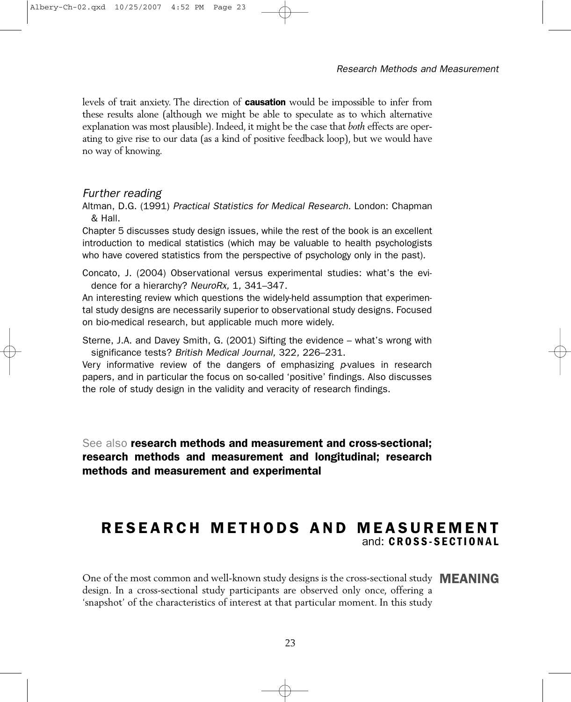### Research Methods and Measurement

levels of trait anxiety. The direction of **causation** would be impossible to infer from these results alone (although we might be able to speculate as to which alternative explanation was most plausible). Indeed, it might be the case that *both* effects are operating to give rise to our data (as a kind of positive feedback loop), but we would have no way of knowing.

### Further reading

Altman, D.G. (1991) Practical Statistics for Medical Research. London: Chapman & Hall.

Chapter 5 discusses study design issues, while the rest of the book is an excellent introduction to medical statistics (which may be valuable to health psychologists who have covered statistics from the perspective of psychology only in the past).

Concato, J. (2004) Observational versus experimental studies: what's the evidence for a hierarchy? NeuroRx, 1, 341-347.

An interesting review which questions the widely-held assumption that experimental study designs are necessarily superior to observational study designs. Focused on bio-medical research, but applicable much more widely.

Sterne, J.A. and Davey Smith, G. (2001) Sifting the evidence – what's wrong with significance tests? British Medical Journal, 322, 226–231.

Very informative review of the dangers of emphasizing  $p$ -values in research papers, and in particular the focus on so-called 'positive' findings. Also discusses the role of study design in the validity and veracity of research findings.

See also research methods and measurement and cross-sectional; research methods and measurement and longitudinal; research methods and measurement and experimental

# RESEARCH METHODS AND MEASUREMENT and: CROSS-SECTIONAL

One of the most common and well-known study designs is the cross-sectional study **MEANING** design. In a cross-sectional study participants are observed only once, offering a 'snapshot' of the characteristics of interest at that particular moment. In this study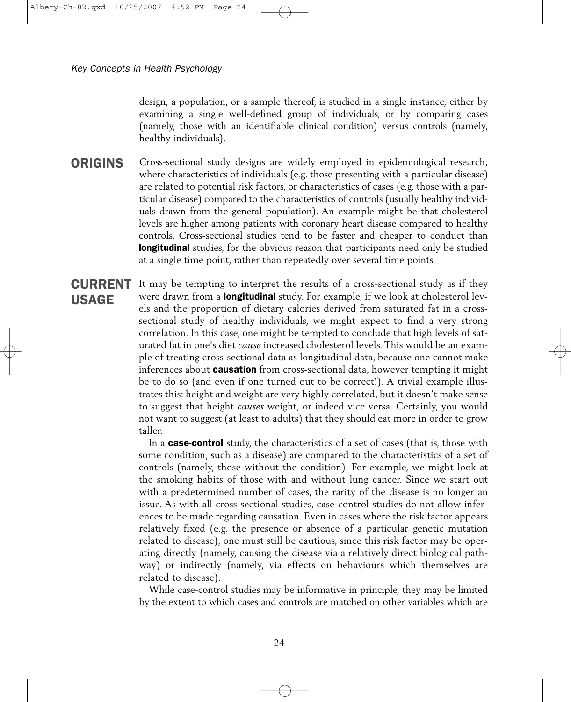design, a population, or a sample thereof, is studied in a single instance, either by examining a single well-defined group of individuals, or by comparing cases (namely, those with an identifiable clinical condition) versus controls (namely, healthy individuals).

Cross-sectional study designs are widely employed in epidemiological research, where characteristics of individuals (e.g. those presenting with a particular disease) are related to potential risk factors, or characteristics of cases (e.g. those with a particular disease) compared to the characteristics of controls (usually healthy individuals drawn from the general population). An example might be that cholesterol levels are higher among patients with coronary heart disease compared to healthy controls. Cross-sectional studies tend to be faster and cheaper to conduct than **longitudinal** studies, for the obvious reason that participants need only be studied at a single time point, rather than repeatedly over several time points. ORIGINS

# CURRENT USAGE

It may be tempting to interpret the results of a cross-sectional study as if they were drawn from a **longitudinal** study. For example, if we look at cholesterol levels and the proportion of dietary calories derived from saturated fat in a crosssectional study of healthy individuals, we might expect to find a very strong correlation. In this case, one might be tempted to conclude that high levels of saturated fat in one's diet *cause* increased cholesterol levels. This would be an example of treating cross-sectional data as longitudinal data, because one cannot make inferences about **causation** from cross-sectional data, however tempting it might be to do so (and even if one turned out to be correct!). A trivial example illustrates this: height and weight are very highly correlated, but it doesn't make sense to suggest that height *causes* weight, or indeed vice versa. Certainly, you would not want to suggest (at least to adults) that they should eat more in order to grow taller.

In a **case-control** study, the characteristics of a set of cases (that is, those with some condition, such as a disease) are compared to the characteristics of a set of controls (namely, those without the condition). For example, we might look at the smoking habits of those with and without lung cancer. Since we start out with a predetermined number of cases, the rarity of the disease is no longer an issue. As with all cross-sectional studies, case-control studies do not allow inferences to be made regarding causation. Even in cases where the risk factor appears relatively fixed (e.g. the presence or absence of a particular genetic mutation related to disease), one must still be cautious, since this risk factor may be operating directly (namely, causing the disease via a relatively direct biological pathway) or indirectly (namely, via effects on behaviours which themselves are related to disease).

While case-control studies may be informative in principle, they may be limited by the extent to which cases and controls are matched on other variables which are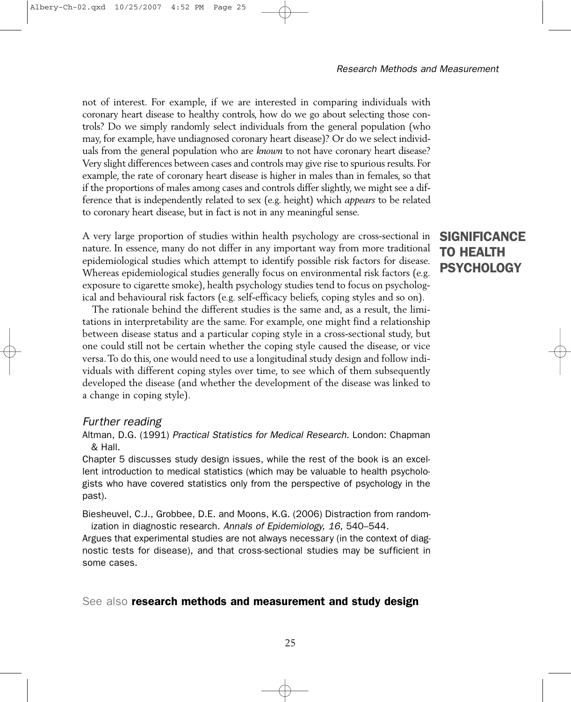not of interest. For example, if we are interested in comparing individuals with coronary heart disease to healthy controls, how do we go about selecting those controls? Do we simply randomly select individuals from the general population (who may, for example, have undiagnosed coronary heart disease)? Or do we select individuals from the general population who are *known* to not have coronary heart disease? Very slight differences between cases and controls may give rise to spurious results. For example, the rate of coronary heart disease is higher in males than in females, so that if the proportions of males among cases and controls differ slightly, we might see a difference that is independently related to sex (e.g. height) which *appears* to be related to coronary heart disease, but in fact is not in any meaningful sense.

A very large proportion of studies within health psychology are cross-sectional in nature. In essence, many do not differ in any important way from more traditional epidemiological studies which attempt to identify possible risk factors for disease. Whereas epidemiological studies generally focus on environmental risk factors (e.g. exposure to cigarette smoke), health psychology studies tend to focus on psychological and behavioural risk factors (e.g. self-efficacy beliefs, coping styles and so on).

The rationale behind the different studies is the same and, as a result, the limitations in interpretability are the same. For example, one might find a relationship between disease status and a particular coping style in a cross-sectional study, but one could still not be certain whether the coping style caused the disease, or vice versa.To do this, one would need to use a longitudinal study design and follow individuals with different coping styles over time, to see which of them subsequently developed the disease (and whether the development of the disease was linked to a change in coping style).

### Further reading

Altman, D.G. (1991) Practical Statistics for Medical Research. London: Chapman & Hall.

Chapter 5 discusses study design issues, while the rest of the book is an excellent introduction to medical statistics (which may be valuable to health psychologists who have covered statistics only from the perspective of psychology in the past).

Biesheuvel, C.J., Grobbee, D.E. and Moons, K.G. (2006) Distraction from randomization in diagnostic research. Annals of Epidemiology, 16, 540-544.

Argues that experimental studies are not always necessary (in the context of diagnostic tests for disease), and that cross-sectional studies may be sufficient in some cases.

## See also research methods and measurement and study design

# SIGNIFICANCE TO HEALTH **PSYCHOLOGY**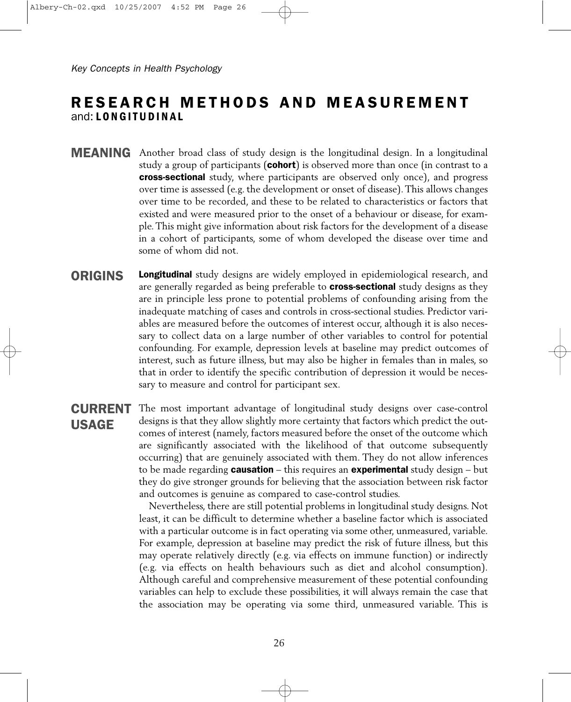# RESEARCH METHODS AND MEASUREMENT and: LONGITUDINAL

- MEANING Another broad class of study design is the longitudinal design. In a longitudinal study a group of participants (cohort) is observed more than once (in contrast to a cross-sectional study, where participants are observed only once), and progress over time is assessed (e.g. the development or onset of disease). This allows changes over time to be recorded, and these to be related to characteristics or factors that existed and were measured prior to the onset of a behaviour or disease, for example. This might give information about risk factors for the development of a disease in a cohort of participants, some of whom developed the disease over time and some of whom did not.
- **Longitudinal** study designs are widely employed in epidemiological research, and are generally regarded as being preferable to **cross-sectional** study designs as they are in principle less prone to potential problems of confounding arising from the inadequate matching of cases and controls in cross-sectional studies. Predictor variables are measured before the outcomes of interest occur, although it is also necessary to collect data on a large number of other variables to control for potential confounding. For example, depression levels at baseline may predict outcomes of interest, such as future illness, but may also be higher in females than in males, so that in order to identify the specific contribution of depression it would be necessary to measure and control for participant sex. ORIGINS

# CURRENT USAGE

The most important advantage of longitudinal study designs over case-control designs is that they allow slightly more certainty that factors which predict the outcomes of interest (namely, factors measured before the onset of the outcome which are significantly associated with the likelihood of that outcome subsequently occurring) that are genuinely associated with them. They do not allow inferences to be made regarding **causation** – this requires an **experimental** study design – but they do give stronger grounds for believing that the association between risk factor and outcomes is genuine as compared to case-control studies.

Nevertheless, there are still potential problems in longitudinal study designs. Not least, it can be difficult to determine whether a baseline factor which is associated with a particular outcome is in fact operating via some other, unmeasured, variable. For example, depression at baseline may predict the risk of future illness, but this may operate relatively directly (e.g. via effects on immune function) or indirectly (e.g. via effects on health behaviours such as diet and alcohol consumption). Although careful and comprehensive measurement of these potential confounding variables can help to exclude these possibilities, it will always remain the case that the association may be operating via some third, unmeasured variable. This is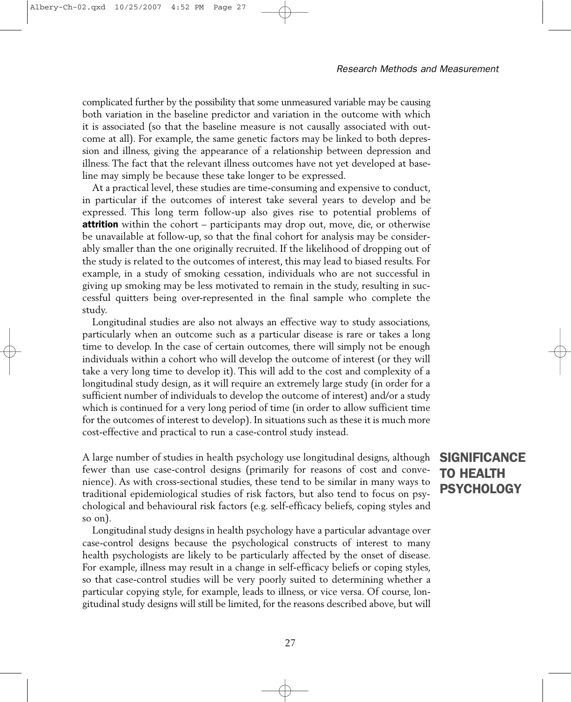complicated further by the possibility that some unmeasured variable may be causing both variation in the baseline predictor and variation in the outcome with which it is associated (so that the baseline measure is not causally associated with outcome at all). For example, the same genetic factors may be linked to both depression and illness, giving the appearance of a relationship between depression and illness. The fact that the relevant illness outcomes have not yet developed at baseline may simply be because these take longer to be expressed.

At a practical level, these studies are time-consuming and expensive to conduct, in particular if the outcomes of interest take several years to develop and be expressed. This long term follow-up also gives rise to potential problems of **attrition** within the cohort – participants may drop out, move, die, or otherwise be unavailable at follow-up, so that the final cohort for analysis may be considerably smaller than the one originally recruited. If the likelihood of dropping out of the study is related to the outcomes of interest, this may lead to biased results. For example, in a study of smoking cessation, individuals who are not successful in giving up smoking may be less motivated to remain in the study, resulting in successful quitters being over-represented in the final sample who complete the study.

Longitudinal studies are also not always an effective way to study associations, particularly when an outcome such as a particular disease is rare or takes a long time to develop. In the case of certain outcomes, there will simply not be enough individuals within a cohort who will develop the outcome of interest (or they will take a very long time to develop it). This will add to the cost and complexity of a longitudinal study design, as it will require an extremely large study (in order for a sufficient number of individuals to develop the outcome of interest) and/or a study which is continued for a very long period of time (in order to allow sufficient time for the outcomes of interest to develop). In situations such as these it is much more cost-effective and practical to run a case-control study instead.

A large number of studies in health psychology use longitudinal designs, although fewer than use case-control designs (primarily for reasons of cost and convenience). As with cross-sectional studies, these tend to be similar in many ways to traditional epidemiological studies of risk factors, but also tend to focus on psychological and behavioural risk factors (e.g. self-efficacy beliefs, coping styles and so on).

Longitudinal study designs in health psychology have a particular advantage over case-control designs because the psychological constructs of interest to many health psychologists are likely to be particularly affected by the onset of disease. For example, illness may result in a change in self-efficacy beliefs or coping styles, so that case-control studies will be very poorly suited to determining whether a particular copying style, for example, leads to illness, or vice versa. Of course, longitudinal study designs will still be limited, for the reasons described above, but will

# SIGNIFICANCE TO HEALTH **PSYCHOLOGY**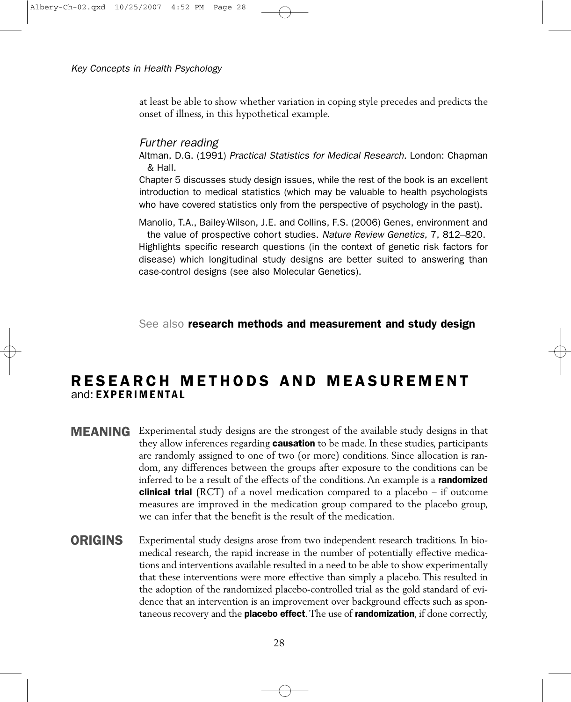at least be able to show whether variation in coping style precedes and predicts the onset of illness, in this hypothetical example.

### Further reading

Altman, D.G. (1991) Practical Statistics for Medical Research. London: Chapman & Hall.

Chapter 5 discusses study design issues, while the rest of the book is an excellent introduction to medical statistics (which may be valuable to health psychologists who have covered statistics only from the perspective of psychology in the past).

Manolio, T.A., Bailey-Wilson, J.E. and Collins, F.S. (2006) Genes, environment and the value of prospective cohort studies. Nature Review Genetics, 7, 812–820. Highlights specific research questions (in the context of genetic risk factors for disease) which longitudinal study designs are better suited to answering than case-control designs (see also Molecular Genetics).

See also research methods and measurement and study design

# RESEARCH METHODS AND MEASUREMENT and: EXPERIMENTAL

- Experimental study designs are the strongest of the available study designs in that MEANING they allow inferences regarding **causation** to be made. In these studies, participants are randomly assigned to one of two (or more) conditions. Since allocation is random, any differences between the groups after exposure to the conditions can be inferred to be a result of the effects of the conditions. An example is a **randomized clinical trial** (RCT) of a novel medication compared to a placebo – if outcome measures are improved in the medication group compared to the placebo group, we can infer that the benefit is the result of the medication.
- Experimental study designs arose from two independent research traditions. In biomedical research, the rapid increase in the number of potentially effective medications and interventions available resulted in a need to be able to show experimentally that these interventions were more effective than simply a placebo. This resulted in the adoption of the randomized placebo-controlled trial as the gold standard of evidence that an intervention is an improvement over background effects such as spontaneous recovery and the **placebo effect**. The use of **randomization**, if done correctly, **ORIGINS**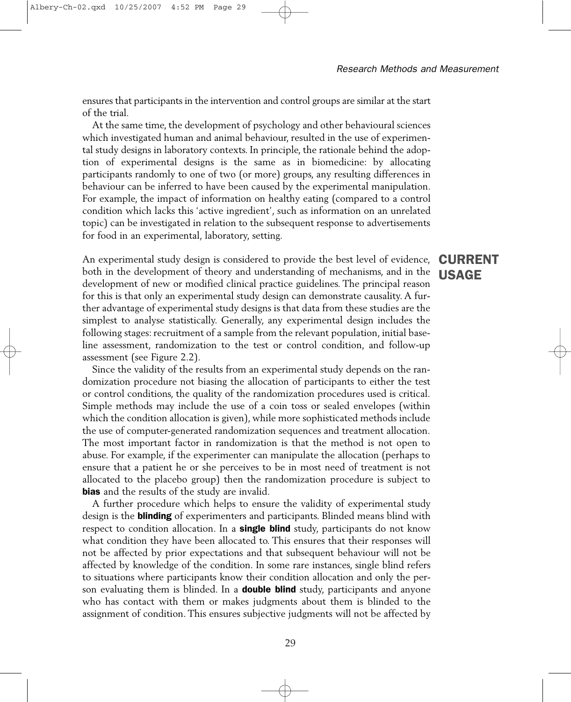ensures that participants in the intervention and control groups are similar at the start of the trial.

At the same time, the development of psychology and other behavioural sciences which investigated human and animal behaviour, resulted in the use of experimental study designs in laboratory contexts. In principle, the rationale behind the adoption of experimental designs is the same as in biomedicine: by allocating participants randomly to one of two (or more) groups, any resulting differences in behaviour can be inferred to have been caused by the experimental manipulation. For example, the impact of information on healthy eating (compared to a control condition which lacks this 'active ingredient', such as information on an unrelated topic) can be investigated in relation to the subsequent response to advertisements for food in an experimental, laboratory, setting.

An experimental study design is considered to provide the best level of evidence, both in the development of theory and understanding of mechanisms, and in the development of new or modified clinical practice guidelines. The principal reason for this is that only an experimental study design can demonstrate causality. A further advantage of experimental study designs is that data from these studies are the simplest to analyse statistically. Generally, any experimental design includes the following stages: recruitment of a sample from the relevant population, initial baseline assessment, randomization to the test or control condition, and follow-up assessment (see Figure 2.2).

Since the validity of the results from an experimental study depends on the randomization procedure not biasing the allocation of participants to either the test or control conditions, the quality of the randomization procedures used is critical. Simple methods may include the use of a coin toss or sealed envelopes (within which the condition allocation is given), while more sophisticated methods include the use of computer-generated randomization sequences and treatment allocation. The most important factor in randomization is that the method is not open to abuse. For example, if the experimenter can manipulate the allocation (perhaps to ensure that a patient he or she perceives to be in most need of treatment is not allocated to the placebo group) then the randomization procedure is subject to **bias** and the results of the study are invalid.

A further procedure which helps to ensure the validity of experimental study design is the **blinding** of experimenters and participants. Blinded means blind with respect to condition allocation. In a **single blind** study, participants do not know what condition they have been allocated to. This ensures that their responses will not be affected by prior expectations and that subsequent behaviour will not be affected by knowledge of the condition. In some rare instances, single blind refers to situations where participants know their condition allocation and only the person evaluating them is blinded. In a **double blind** study, participants and anyone who has contact with them or makes judgments about them is blinded to the assignment of condition. This ensures subjective judgments will not be affected by

# CURRENT USAGE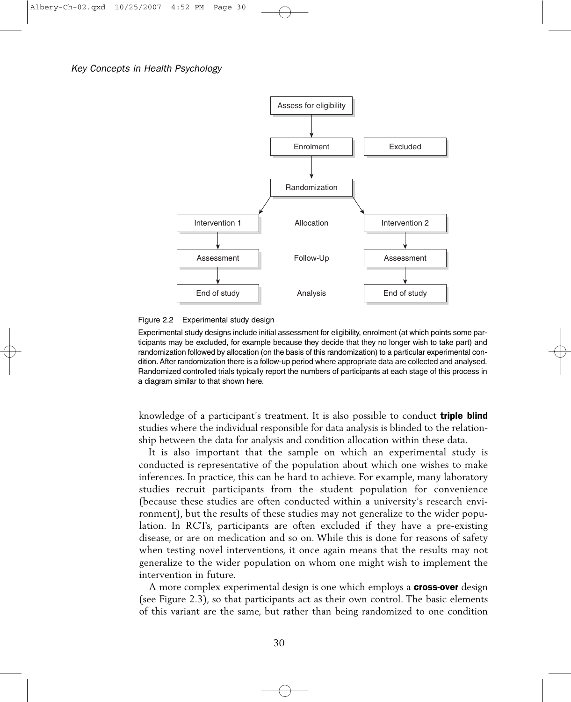

Figure 2.2 Experimental study design

Experimental study designs include initial assessment for eligibility, enrolment (at which points some participants may be excluded, for example because they decide that they no longer wish to take part) and randomization followed by allocation (on the basis of this randomization) to a particular experimental condition. After randomization there is a follow-up period where appropriate data are collected and analysed. Randomized controlled trials typically report the numbers of participants at each stage of this process in a diagram similar to that shown here.

knowledge of a participant's treatment. It is also possible to conduct triple blind studies where the individual responsible for data analysis is blinded to the relationship between the data for analysis and condition allocation within these data.

It is also important that the sample on which an experimental study is conducted is representative of the population about which one wishes to make inferences. In practice, this can be hard to achieve. For example, many laboratory studies recruit participants from the student population for convenience (because these studies are often conducted within a university's research environment), but the results of these studies may not generalize to the wider population. In RCTs, participants are often excluded if they have a pre-existing disease, or are on medication and so on. While this is done for reasons of safety when testing novel interventions, it once again means that the results may not generalize to the wider population on whom one might wish to implement the intervention in future.

A more complex experimental design is one which employs a **cross-over** design (see Figure 2.3), so that participants act as their own control. The basic elements of this variant are the same, but rather than being randomized to one condition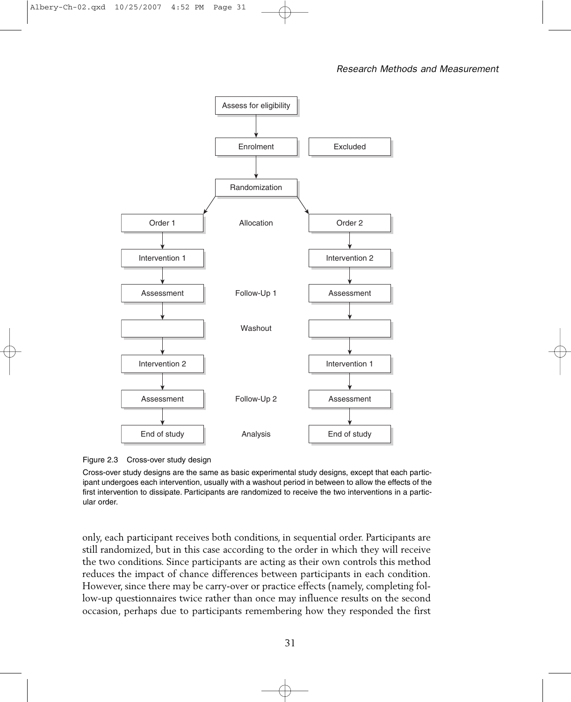





Cross-over study designs are the same as basic experimental study designs, except that each participant undergoes each intervention, usually with a washout period in between to allow the effects of the first intervention to dissipate. Participants are randomized to receive the two interventions in a particular order.

only, each participant receives both conditions, in sequential order. Participants are still randomized, but in this case according to the order in which they will receive the two conditions. Since participants are acting as their own controls this method reduces the impact of chance differences between participants in each condition. However, since there may be carry-over or practice effects (namely, completing follow-up questionnaires twice rather than once may influence results on the second occasion, perhaps due to participants remembering how they responded the first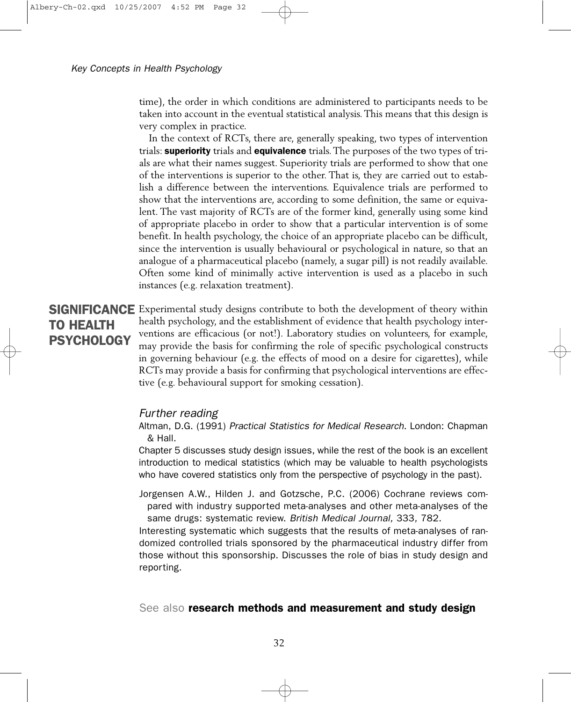time), the order in which conditions are administered to participants needs to be taken into account in the eventual statistical analysis. This means that this design is very complex in practice.

In the context of RCTs, there are, generally speaking, two types of intervention trials: **superiority** trials and **equivalence** trials. The purposes of the two types of trials are what their names suggest. Superiority trials are performed to show that one of the interventions is superior to the other. That is, they are carried out to establish a difference between the interventions. Equivalence trials are performed to show that the interventions are, according to some definition, the same or equivalent. The vast majority of RCTs are of the former kind, generally using some kind of appropriate placebo in order to show that a particular intervention is of some benefit. In health psychology, the choice of an appropriate placebo can be difficult, since the intervention is usually behavioural or psychological in nature, so that an analogue of a pharmaceutical placebo (namely, a sugar pill) is not readily available. Often some kind of minimally active intervention is used as a placebo in such instances (e.g. relaxation treatment).

# TO HEALTH **PSYCHOLOGY**

SIGNIFICANCE Experimental study designs contribute to both the development of theory within health psychology, and the establishment of evidence that health psychology interventions are efficacious (or not!). Laboratory studies on volunteers, for example, may provide the basis for confirming the role of specific psychological constructs in governing behaviour (e.g. the effects of mood on a desire for cigarettes), while RCTs may provide a basis for confirming that psychological interventions are effective (e.g. behavioural support for smoking cessation).

### Further reading

Altman, D.G. (1991) Practical Statistics for Medical Research. London: Chapman & Hall.

Chapter 5 discusses study design issues, while the rest of the book is an excellent introduction to medical statistics (which may be valuable to health psychologists who have covered statistics only from the perspective of psychology in the past).

Jorgensen A.W., Hilden J. and Gotzsche, P.C. (2006) Cochrane reviews compared with industry supported meta-analyses and other meta-analyses of the same drugs: systematic review. British Medical Journal, 333, 782.

Interesting systematic which suggests that the results of meta-analyses of randomized controlled trials sponsored by the pharmaceutical industry differ from those without this sponsorship. Discusses the role of bias in study design and reporting.

### See also research methods and measurement and study design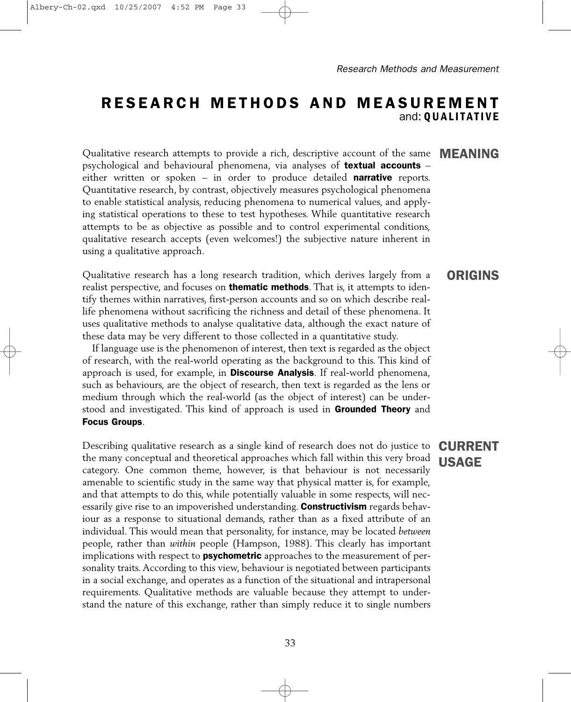Qualitative research attempts to provide a rich, descriptive account of the same **MEANING** psychological and behavioural phenomena, via analyses of textual accounts – either written or spoken – in order to produce detailed **narrative** reports. Quantitative research, by contrast, objectively measures psychological phenomena to enable statistical analysis, reducing phenomena to numerical values, and applying statistical operations to these to test hypotheses. While quantitative research attempts to be as objective as possible and to control experimental conditions, qualitative research accepts (even welcomes!) the subjective nature inherent in using a qualitative approach.

Qualitative research has a long research tradition, which derives largely from a realist perspective, and focuses on **thematic methods**. That is, it attempts to identify themes within narratives, first-person accounts and so on which describe reallife phenomena without sacrificing the richness and detail of these phenomena. It uses qualitative methods to analyse qualitative data, although the exact nature of these data may be very different to those collected in a quantitative study.

If language use is the phenomenon of interest, then text is regarded as the object of research, with the real-world operating as the background to this. This kind of approach is used, for example, in **Discourse Analysis**. If real-world phenomena, such as behaviours, are the object of research, then text is regarded as the lens or medium through which the real-world (as the object of interest) can be understood and investigated. This kind of approach is used in **Grounded Theory** and Focus Groups.

Describing qualitative research as a single kind of research does not do justice to the many conceptual and theoretical approaches which fall within this very broad category. One common theme, however, is that behaviour is not necessarily amenable to scientific study in the same way that physical matter is, for example, and that attempts to do this, while potentially valuable in some respects, will necessarily give rise to an impoverished understanding. **Constructivism** regards behaviour as a response to situational demands, rather than as a fixed attribute of an individual. This would mean that personality, for instance, may be located *between* people, rather than *within* people (Hampson, 1988). This clearly has important implications with respect to **psychometric** approaches to the measurement of personality traits. According to this view, behaviour is negotiated between participants in a social exchange, and operates as a function of the situational and intrapersonal requirements. Qualitative methods are valuable because they attempt to understand the nature of this exchange, rather than simply reduce it to single numbers

# ORIGINS

# CURRENT USAGE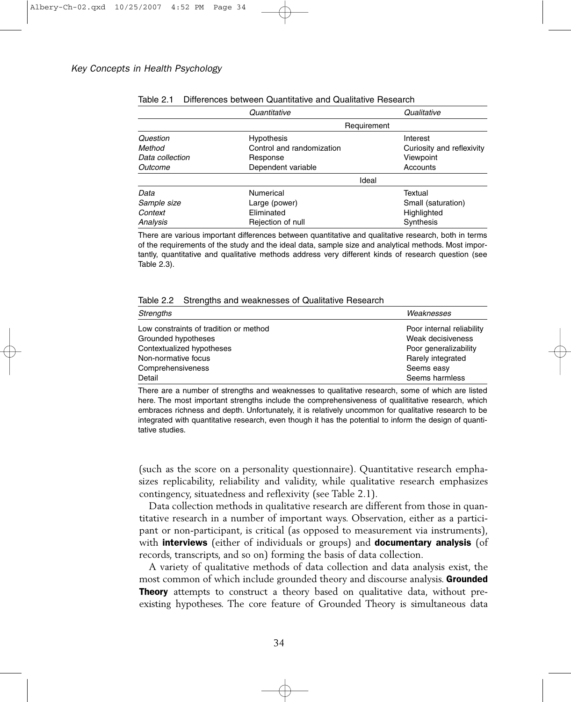|                 | Quantitative              | Qualitative               |  |
|-----------------|---------------------------|---------------------------|--|
|                 | Requirement               |                           |  |
| Question        | <b>Hypothesis</b>         | Interest                  |  |
| Method          | Control and randomization | Curiosity and reflexivity |  |
| Data collection | Response                  | Viewpoint                 |  |
| Outcome         | Dependent variable        | Accounts                  |  |
|                 | Ideal                     |                           |  |
| Data            | Numerical                 | Textual                   |  |
| Sample size     | Large (power)             | Small (saturation)        |  |
| Context         | Eliminated                | Highlighted               |  |
| Analysis        | Rejection of null         | Synthesis                 |  |

### Table 2.1 Differences between Quantitative and Qualitative Research

There are various important differences between quantitative and qualitative research, both in terms of the requirements of the study and the ideal data, sample size and analytical methods. Most importantly, quantitative and qualitative methods address very different kinds of research question (see Table 2.3).

#### Table 2.2 Strengths and weaknesses of Qualitative Research

| Strengths                              | Weaknesses                |  |
|----------------------------------------|---------------------------|--|
| Low constraints of tradition or method | Poor internal reliability |  |
| Grounded hypotheses                    | Weak decisiveness         |  |
| Contextualized hypotheses              | Poor generalizability     |  |
| Non-normative focus                    | Rarely integrated         |  |
| Comprehensiveness                      | Seems easy                |  |
| Detail                                 | Seems harmless            |  |

There are a number of strengths and weaknesses to qualitative research, some of which are listed here. The most important strengths include the comprehensiveness of qualititative research, which embraces richness and depth. Unfortunately, it is relatively uncommon for qualitative research to be integrated with quantitative research, even though it has the potential to inform the design of quantitative studies.

(such as the score on a personality questionnaire). Quantitative research emphasizes replicability, reliability and validity, while qualitative research emphasizes contingency, situatedness and reflexivity (see Table 2.1).

Data collection methods in qualitative research are different from those in quantitative research in a number of important ways. Observation, either as a participant or non-participant, is critical (as opposed to measurement via instruments), with **interviews** (either of individuals or groups) and **documentary analysis** (of records, transcripts, and so on) forming the basis of data collection.

A variety of qualitative methods of data collection and data analysis exist, the most common of which include grounded theory and discourse analysis. Grounded **Theory** attempts to construct a theory based on qualitative data, without preexisting hypotheses. The core feature of Grounded Theory is simultaneous data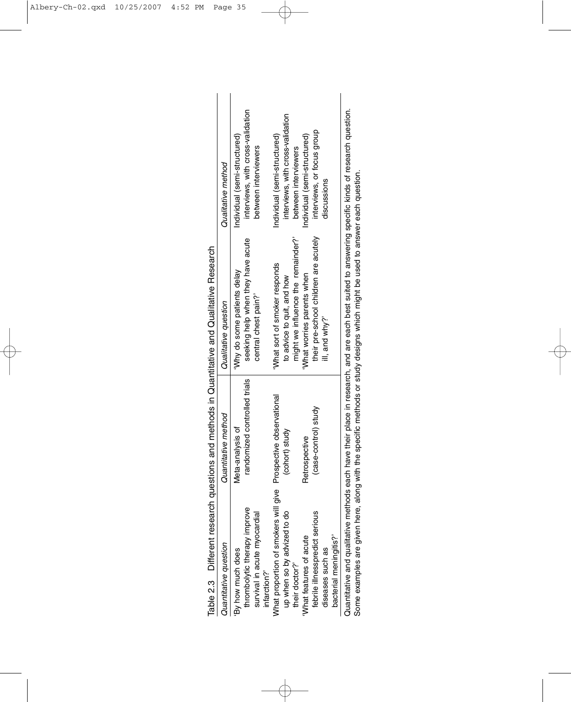| Quantitative question                                          | Quantitative method          | Qualitative question                                                              | Qualitative method                |
|----------------------------------------------------------------|------------------------------|-----------------------------------------------------------------------------------|-----------------------------------|
| By how much does                                               | Meta-analysis of             | 'Why do some patients delay                                                       | Individual (semi-structured)      |
| thrombolytic therapy improve                                   | randomized controlled trials | seeking help when they have acute                                                 | interviews, with cross-validation |
| survival in acute myocardial                                   |                              | central chest pain?                                                               | between interviewers              |
| infarction?                                                    |                              |                                                                                   |                                   |
| What proportion of smokers will give Prospective observational |                              | 'What sort of smoker responds                                                     | Individual (semi-structured)      |
| up when so by advized to do                                    | (cohort) study               | to advice to quit, and how                                                        | interviews, with cross-validation |
| their doctor?'                                                 |                              | might we influence the remainder?                                                 | between interviewers              |
| What features of acute                                         | Retrospective                | 'What worries parents when                                                        | Individual (semi-structured)      |
| febrile illnesspredict serious                                 | (case-control) study         | their pre-school children are acutely                                             | interviews, or focus group        |
| diseases such as                                               |                              | ill, and why?                                                                     | discussions                       |
| bacterial meningitis?                                          |                              |                                                                                   |                                   |
|                                                                |                              | 在这里的,我们也不能在这里的,我们也不能在这里的,我们也不能在这里的,我们也不能在这里的。""我们,我们也不能在这里的,我们也不能在这里的。""我们的,我们也不能 |                                   |

 $\bigoplus$ 

 $\overline{\downarrow}$ 

Table 2.3 Different research questions and methods in Quantitative and Qualitative Research Table 2.3 Different research questions and methods in Quantitative and Qualitative Research Quantitative and qualitative methods each have their place in research, and are each best suited to answering specific kinds of research question.<br>Some examples are given here, along with the specific methods or study desi Quantitative and qualitative methods each have their place in research, and are each best suited to answering specific kinds of research question. Some examples are given here, along with the specific methods or study designs which might be used to answer each question.

 $\overline{\phantom{a}}$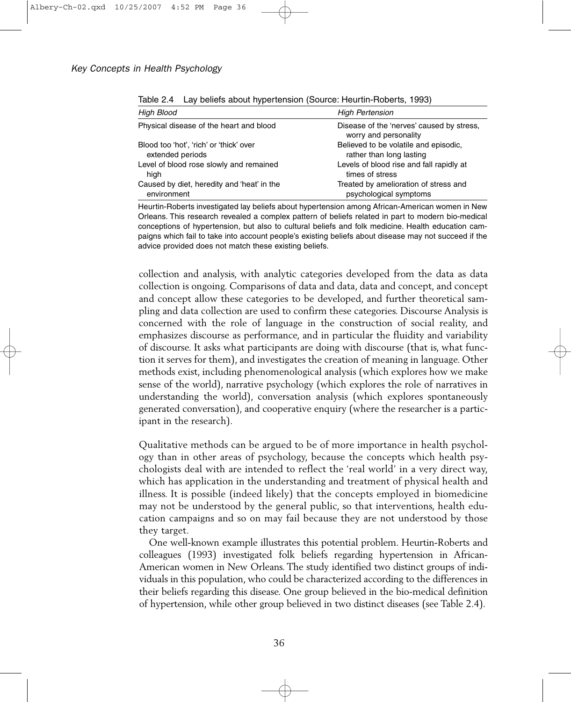|  |  | Table 2.4 Lay beliefs about hypertension (Source: Heurtin-Roberts, 1993) |  |  |  |
|--|--|--------------------------------------------------------------------------|--|--|--|
|--|--|--------------------------------------------------------------------------|--|--|--|

| <b>High Blood</b>                          | <b>High Pertension</b>                                             |
|--------------------------------------------|--------------------------------------------------------------------|
| Physical disease of the heart and blood    | Disease of the 'nerves' caused by stress,<br>worry and personality |
| Blood too 'hot', 'rich' or 'thick' over    | Believed to be volatile and episodic,                              |
| extended periods                           | rather than long lasting                                           |
| Level of blood rose slowly and remained    | Levels of blood rise and fall rapidly at                           |
| high                                       | times of stress                                                    |
| Caused by diet, heredity and 'heat' in the | Treated by amelioration of stress and                              |
| environment                                | psychological symptoms                                             |

Heurtin-Roberts investigated lay beliefs about hypertension among African-American women in New Orleans. This research revealed a complex pattern of beliefs related in part to modern bio-medical conceptions of hypertension, but also to cultural beliefs and folk medicine. Health education campaigns which fail to take into account people's existing beliefs about disease may not succeed if the advice provided does not match these existing beliefs.

collection and analysis, with analytic categories developed from the data as data collection is ongoing. Comparisons of data and data, data and concept, and concept and concept allow these categories to be developed, and further theoretical sampling and data collection are used to confirm these categories. Discourse Analysis is concerned with the role of language in the construction of social reality, and emphasizes discourse as performance, and in particular the fluidity and variability of discourse. It asks what participants are doing with discourse (that is, what function it serves for them), and investigates the creation of meaning in language. Other methods exist, including phenomenological analysis (which explores how we make sense of the world), narrative psychology (which explores the role of narratives in understanding the world), conversation analysis (which explores spontaneously generated conversation), and cooperative enquiry (where the researcher is a participant in the research).

Qualitative methods can be argued to be of more importance in health psychology than in other areas of psychology, because the concepts which health psychologists deal with are intended to reflect the 'real world' in a very direct way, which has application in the understanding and treatment of physical health and illness. It is possible (indeed likely) that the concepts employed in biomedicine may not be understood by the general public, so that interventions, health education campaigns and so on may fail because they are not understood by those they target.

One well-known example illustrates this potential problem. Heurtin-Roberts and colleagues (1993) investigated folk beliefs regarding hypertension in African-American women in New Orleans. The study identified two distinct groups of individuals in this population, who could be characterized according to the differences in their beliefs regarding this disease. One group believed in the bio-medical definition of hypertension, while other group believed in two distinct diseases (see Table 2.4).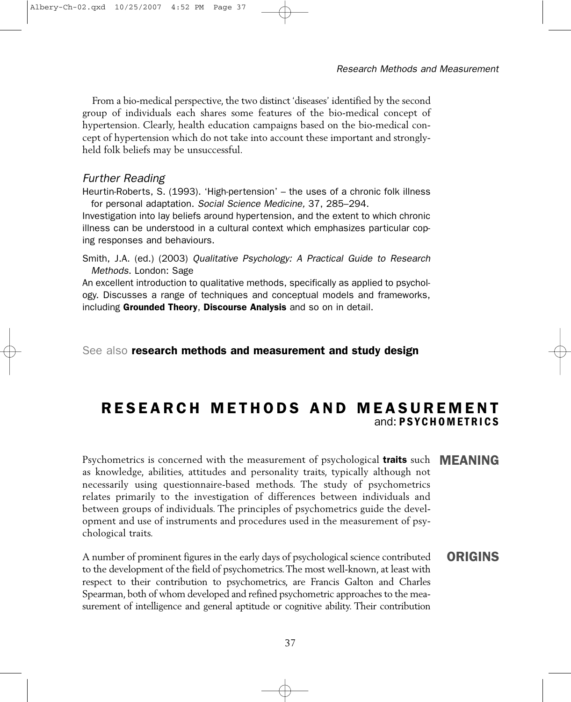Research Methods and Measurement

From a bio-medical perspective, the two distinct 'diseases' identified by the second group of individuals each shares some features of the bio-medical concept of hypertension. Clearly, health education campaigns based on the bio-medical concept of hypertension which do not take into account these important and stronglyheld folk beliefs may be unsuccessful.

### Further Reading

Heurtin-Roberts, S. (1993). 'High-pertension' – the uses of a chronic folk illness for personal adaptation. Social Science Medicine, 37, 285–294.

Investigation into lay beliefs around hypertension, and the extent to which chronic illness can be understood in a cultural context which emphasizes particular coping responses and behaviours.

Smith, J.A. (ed.) (2003) Qualitative Psychology: A Practical Guide to Research Methods. London: Sage

An excellent introduction to qualitative methods, specifically as applied to psychology. Discusses a range of techniques and conceptual models and frameworks, including Grounded Theory, Discourse Analysis and so on in detail.

See also research methods and measurement and study design

# RESEARCH METHODS AND MEASUREMENT and: PSYCHOMETRICS

Psychometrics is concerned with the measurement of psychological traits such **MEANING** as knowledge, abilities, attitudes and personality traits, typically although not necessarily using questionnaire-based methods. The study of psychometrics relates primarily to the investigation of differences between individuals and between groups of individuals. The principles of psychometrics guide the development and use of instruments and procedures used in the measurement of psychological traits.

A number of prominent figures in the early days of psychological science contributed to the development of the field of psychometrics.The most well-known, at least with respect to their contribution to psychometrics, are Francis Galton and Charles Spearman, both of whom developed and refined psychometric approaches to the measurement of intelligence and general aptitude or cognitive ability. Their contribution ORIGINS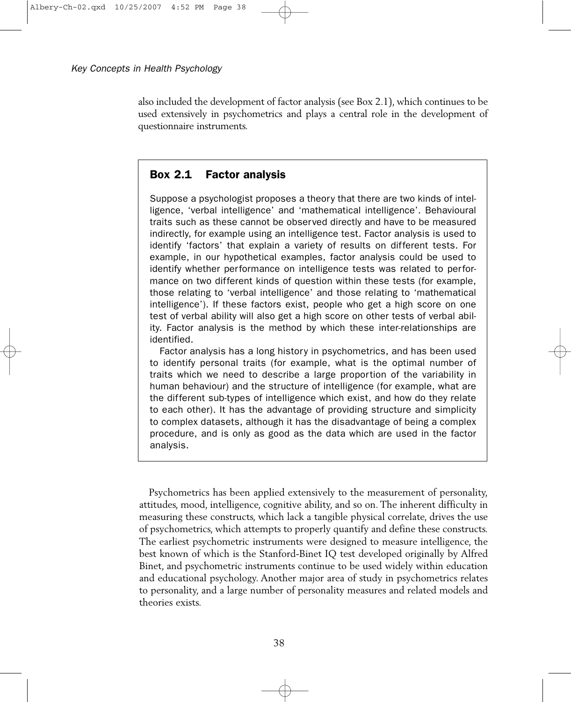also included the development of factor analysis (see Box 2.1), which continues to be used extensively in psychometrics and plays a central role in the development of questionnaire instruments.

## Box 2.1 Factor analysis

Suppose a psychologist proposes a theory that there are two kinds of intelligence, 'verbal intelligence' and 'mathematical intelligence'. Behavioural traits such as these cannot be observed directly and have to be measured indirectly, for example using an intelligence test. Factor analysis is used to identify 'factors' that explain a variety of results on different tests. For example, in our hypothetical examples, factor analysis could be used to identify whether performance on intelligence tests was related to performance on two different kinds of question within these tests (for example, those relating to 'verbal intelligence' and those relating to 'mathematical intelligence'). If these factors exist, people who get a high score on one test of verbal ability will also get a high score on other tests of verbal ability. Factor analysis is the method by which these inter-relationships are identified.

Factor analysis has a long history in psychometrics, and has been used to identify personal traits (for example, what is the optimal number of traits which we need to describe a large proportion of the variability in human behaviour) and the structure of intelligence (for example, what are the different sub-types of intelligence which exist, and how do they relate to each other). It has the advantage of providing structure and simplicity to complex datasets, although it has the disadvantage of being a complex procedure, and is only as good as the data which are used in the factor analysis.

Psychometrics has been applied extensively to the measurement of personality, attitudes, mood, intelligence, cognitive ability, and so on. The inherent difficulty in measuring these constructs, which lack a tangible physical correlate, drives the use of psychometrics, which attempts to properly quantify and define these constructs. The earliest psychometric instruments were designed to measure intelligence, the best known of which is the Stanford-Binet IQ test developed originally by Alfred Binet, and psychometric instruments continue to be used widely within education and educational psychology. Another major area of study in psychometrics relates to personality, and a large number of personality measures and related models and theories exists.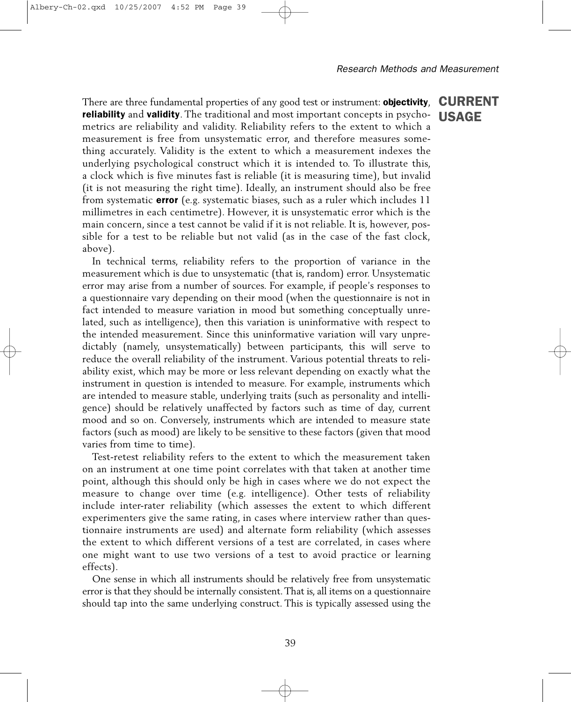Research Methods and Measurement

# **CURRENT** USAGE

There are three fundamental properties of any good test or instrument: **objectivity**, **reliability** and **validity**. The traditional and most important concepts in psychometrics are reliability and validity. Reliability refers to the extent to which a measurement is free from unsystematic error, and therefore measures something accurately. Validity is the extent to which a measurement indexes the underlying psychological construct which it is intended to. To illustrate this, a clock which is five minutes fast is reliable (it is measuring time), but invalid (it is not measuring the right time). Ideally, an instrument should also be free from systematic **error** (e.g. systematic biases, such as a ruler which includes 11 millimetres in each centimetre). However, it is unsystematic error which is the main concern, since a test cannot be valid if it is not reliable. It is, however, possible for a test to be reliable but not valid (as in the case of the fast clock, above).

In technical terms, reliability refers to the proportion of variance in the measurement which is due to unsystematic (that is, random) error. Unsystematic error may arise from a number of sources. For example, if people's responses to a questionnaire vary depending on their mood (when the questionnaire is not in fact intended to measure variation in mood but something conceptually unrelated, such as intelligence), then this variation is uninformative with respect to the intended measurement. Since this uninformative variation will vary unpredictably (namely, unsystematically) between participants, this will serve to reduce the overall reliability of the instrument. Various potential threats to reliability exist, which may be more or less relevant depending on exactly what the instrument in question is intended to measure. For example, instruments which are intended to measure stable, underlying traits (such as personality and intelligence) should be relatively unaffected by factors such as time of day, current mood and so on. Conversely, instruments which are intended to measure state factors (such as mood) are likely to be sensitive to these factors (given that mood varies from time to time).

Test-retest reliability refers to the extent to which the measurement taken on an instrument at one time point correlates with that taken at another time point, although this should only be high in cases where we do not expect the measure to change over time (e.g. intelligence). Other tests of reliability include inter-rater reliability (which assesses the extent to which different experimenters give the same rating, in cases where interview rather than questionnaire instruments are used) and alternate form reliability (which assesses the extent to which different versions of a test are correlated, in cases where one might want to use two versions of a test to avoid practice or learning effects).

One sense in which all instruments should be relatively free from unsystematic error is that they should be internally consistent.That is, all items on a questionnaire should tap into the same underlying construct. This is typically assessed using the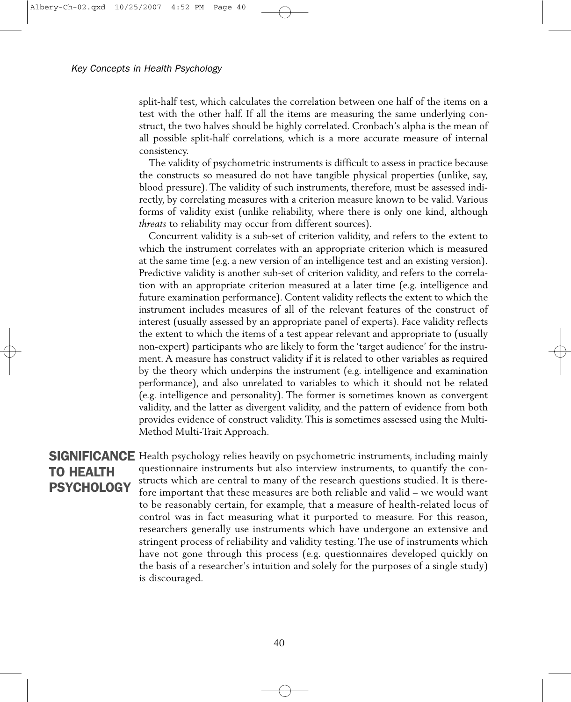split-half test, which calculates the correlation between one half of the items on a test with the other half. If all the items are measuring the same underlying construct, the two halves should be highly correlated. Cronbach's alpha is the mean of all possible split-half correlations, which is a more accurate measure of internal consistency.

The validity of psychometric instruments is difficult to assess in practice because the constructs so measured do not have tangible physical properties (unlike, say, blood pressure). The validity of such instruments, therefore, must be assessed indirectly, by correlating measures with a criterion measure known to be valid. Various forms of validity exist (unlike reliability, where there is only one kind, although *threats* to reliability may occur from different sources).

Concurrent validity is a sub-set of criterion validity, and refers to the extent to which the instrument correlates with an appropriate criterion which is measured at the same time (e.g. a new version of an intelligence test and an existing version). Predictive validity is another sub-set of criterion validity, and refers to the correlation with an appropriate criterion measured at a later time (e.g. intelligence and future examination performance). Content validity reflects the extent to which the instrument includes measures of all of the relevant features of the construct of interest (usually assessed by an appropriate panel of experts). Face validity reflects the extent to which the items of a test appear relevant and appropriate to (usually non-expert) participants who are likely to form the 'target audience' for the instrument. A measure has construct validity if it is related to other variables as required by the theory which underpins the instrument (e.g. intelligence and examination performance), and also unrelated to variables to which it should not be related (e.g. intelligence and personality). The former is sometimes known as convergent validity, and the latter as divergent validity, and the pattern of evidence from both provides evidence of construct validity. This is sometimes assessed using the Multi-Method Multi-Trait Approach.

# TO HEALTH **PSYCHOLOGY**

SIGNIFICANCE Health psychology relies heavily on psychometric instruments, including mainly questionnaire instruments but also interview instruments, to quantify the constructs which are central to many of the research questions studied. It is therefore important that these measures are both reliable and valid – we would want to be reasonably certain, for example, that a measure of health-related locus of control was in fact measuring what it purported to measure. For this reason, researchers generally use instruments which have undergone an extensive and stringent process of reliability and validity testing. The use of instruments which have not gone through this process (e.g. questionnaires developed quickly on the basis of a researcher's intuition and solely for the purposes of a single study) is discouraged.